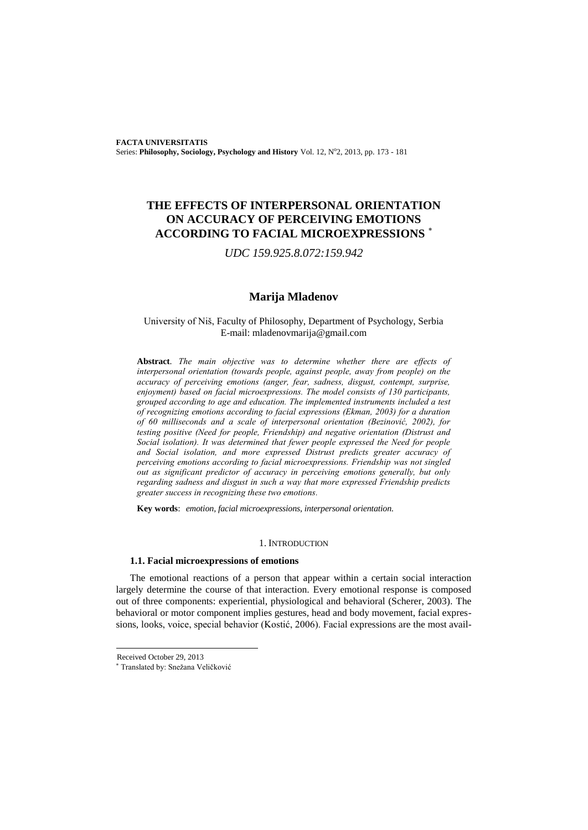# **THE EFFECTS OF INTERPERSONAL ORIENTATION ON ACCURACY OF PERCEIVING EMOTIONS ACCORDING TO FACIAL MICROEXPRESSIONS**

*UDC 159.925.8.072:159.942*

# **Marija Mladenov**

# University of Niš, Faculty of Philosophy, Department of Psychology, Serbia E-mail: mladenovmarija@gmail.com

**Abstract**. *The main objective was to determine whether there are effects of interpersonal orientation (towards people, against people, away from people) on the accuracy of perceiving emotions (anger, fear, sadness, disgust, contempt, surprise, enjoyment) based on facial microexpressions. The model consists of 130 participants, grouped according to age and education. The implemented instruments included a test of recognizing emotions according to facial expressions (Ekman, 2003) for a duration of 60 milliseconds and a scale of interpersonal orientation (Bezinović, 2002), for testing positive (Need for people, Friendship) and negative orientation (Distrust and Social isolation). It was determined that fewer people expressed the Need for people and Social isolation, and more expressed Distrust predicts greater accuracy of perceiving emotions according to facial microexpressions. Friendship was not singled out as significant predictor of accuracy in perceiving emotions generally, but only regarding sadness and disgust in such a way that more expressed Friendship predicts greater success in recognizing these two emotions.*

**Key words**: *emotion, facial microexpressions, interpersonal orientation.*

### 1. INTRODUCTION

## **1.1. Facial microexpressions of emotions**

The emotional reactions of a person that appear within a certain social interaction largely determine the course of that interaction. Every emotional response is composed out of three components: experiential, physiological and behavioral (Scherer, 2003). The behavioral or motor component implies gestures, head and body movement, facial expressions, looks, voice, special behavior (Kostić, 2006). Facial expressions are the most avail-

l

Received October 29, 2013

<sup>\*</sup> Translated by: Snežana Veličković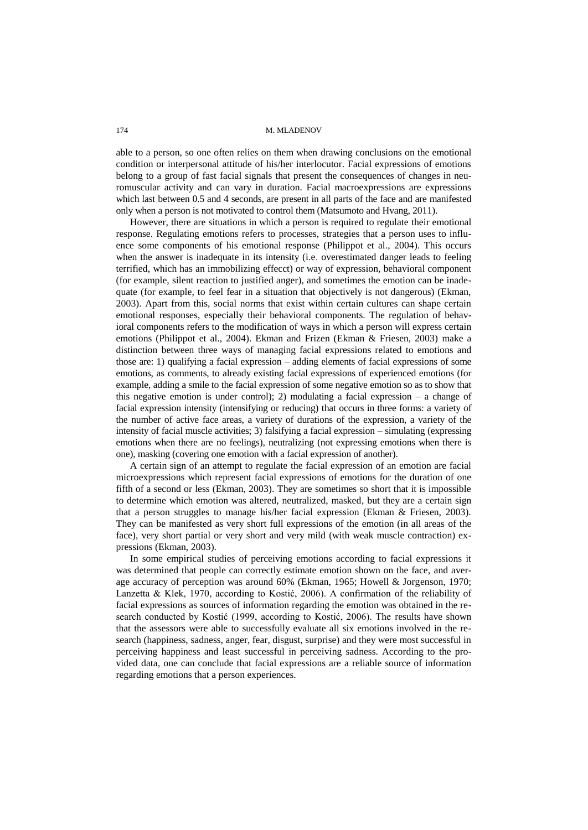174 M. M. M. ADENOV

able to a person, so one often relies on them when drawing conclusions on the emotional condition or interpersonal attitude of his/her interlocutor. Facial expressions of emotions belong to a group of fast facial signals that present the consequences of changes in neuromuscular activity and can vary in duration. Facial macroexpressions are expressions which last between 0.5 and 4 seconds, are present in all parts of the face and are manifested only when a person is not motivated to control them (Matsumoto and Hvang, 2011).

However, there are situations in which a person is required to regulate their emotional response. Regulating emotions refers to processes, strategies that a person uses to influence some components of his emotional response (Philippot et al., 2004). This occurs when the answer is inadequate in its intensity (i.e. overestimated danger leads to feeling terrified, which has an immobilizing effecct) or way of expression, behavioral component (for example, silent reaction to justified anger), and sometimes the emotion can be inadequate (for example, to feel fear in a situation that objectively is not dangerous) (Ekman, 2003). Apart from this, social norms that exist within certain cultures can shape certain emotional responses, especially their behavioral components. The regulation of behavioral components refers to the modification of ways in which a person will express certain emotions (Philippot et al., 2004). Ekman and Frizen (Ekman & Friesen, 2003) make a distinction between three ways of managing facial expressions related to emotions and those are: 1) qualifying a facial expression – adding elements of facial expressions of some emotions, as comments, to already existing facial expressions of experienced emotions (for example, adding a smile to the facial expression of some negative emotion so as to show that this negative emotion is under control); 2) modulating a facial expression – a change of facial expression intensity (intensifying or reducing) that occurs in three forms: a variety of the number of active face areas, a variety of durations of the expression, a variety of the intensity of facial muscle activities; 3) falsifying a facial expression – simulating (expressing emotions when there are no feelings), neutralizing (not expressing emotions when there is one), masking (covering one emotion with a facial expression of another).

A certain sign of an attempt to regulate the facial expression of an emotion are facial microexpressions which represent facial expressions of emotions for the duration of one fifth of a second or less (Ekman, 2003). They are sometimes so short that it is impossible to determine which emotion was altered, neutralized, masked, but they are a certain sign that a person struggles to manage his/her facial expression (Ekman & Friesen, 2003). They can be manifested as very short full expressions of the emotion (in all areas of the face), very short partial or very short and very mild (with weak muscle contraction) expressions (Ekman, 2003).

In some empirical studies of perceiving emotions according to facial expressions it was determined that people can correctly estimate emotion shown on the face, and average accuracy of perception was around 60% (Ekman, 1965; Howell & Jorgenson, 1970; Lanzetta & Klek, 1970, according to Kostić, 2006). A confirmation of the reliability of facial expressions as sources of information regarding the emotion was obtained in the research conducted by Kostić (1999, according to Kostić, 2006). The results have shown that the assessors were able to successfully evaluate all six emotions involved in the research (happiness, sadness, anger, fear, disgust, surprise) and they were most successful in perceiving happiness and least successful in perceiving sadness. According to the provided data, one can conclude that facial expressions are a reliable source of information regarding emotions that a person experiences.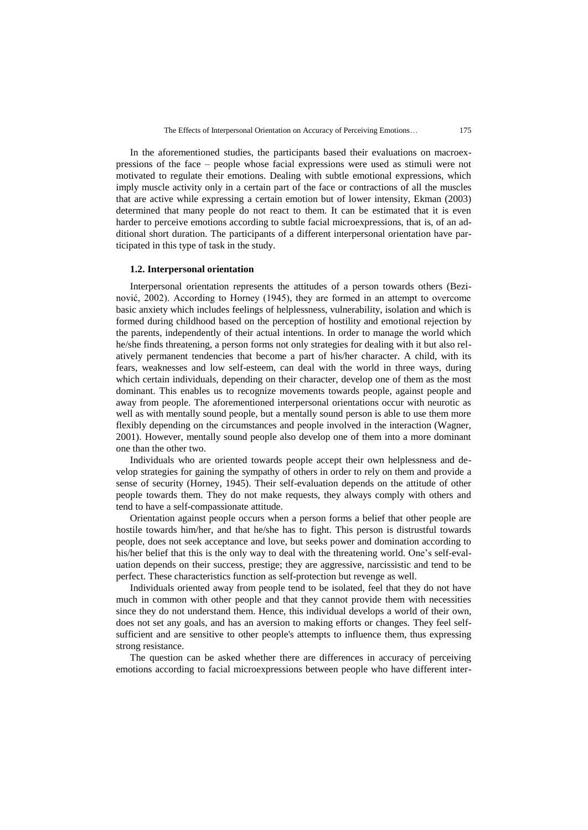In the aforementioned studies, the participants based their evaluations on macroexpressions of the face – people whose facial expressions were used as stimuli were not motivated to regulate their emotions. Dealing with subtle emotional expressions, which imply muscle activity only in a certain part of the face or contractions of all the muscles that are active while expressing a certain emotion but of lower intensity, Ekman (2003) determined that many people do not react to them. It can be estimated that it is even harder to perceive emotions according to subtle facial microexpressions, that is, of an additional short duration. The participants of a different interpersonal orientation have participated in this type of task in the study.

#### **1.2. Interpersonal orientation**

Interpersonal orientation represents the attitudes of a person towards others (Bezinović, 2002). According to Horney (1945), they are formed in an attempt to overcome basic anxiety which includes feelings of helplessness, vulnerability, isolation and which is formed during childhood based on the perception of hostility and emotional rejection by the parents, independently of their actual intentions. In order to manage the world which he/she finds threatening, a person forms not only strategies for dealing with it but also relatively permanent tendencies that become a part of his/her character. A child, with its fears, weaknesses and low self-esteem, can deal with the world in three ways, during which certain individuals, depending on their character, develop one of them as the most dominant. This enables us to recognize movements towards people, against people and away from people. The aforementioned interpersonal orientations occur with neurotic as well as with mentally sound people, but a mentally sound person is able to use them more flexibly depending on the circumstances and people involved in the interaction (Wagner, 2001). However, mentally sound people also develop one of them into a more dominant one than the other two.

Individuals who are oriented towards people accept their own helplessness and develop strategies for gaining the sympathy of others in order to rely on them and provide a sense of security (Horney, 1945). Their self-evaluation depends on the attitude of other people towards them. They do not make requests, they always comply with others and tend to have a self-compassionate attitude.

Orientation against people occurs when a person forms a belief that other people are hostile towards him/her, and that he/she has to fight. This person is distrustful towards people, does not seek acceptance and love, but seeks power and domination according to his/her belief that this is the only way to deal with the threatening world. One's self-evaluation depends on their success, prestige; they are aggressive, narcissistic and tend to be perfect. These characteristics function as self-protection but revenge as well.

Individuals oriented away from people tend to be isolated, feel that they do not have much in common with other people and that they cannot provide them with necessities since they do not understand them. Hence, this individual develops a world of their own, does not set any goals, and has an aversion to making efforts or changes. They feel selfsufficient and are sensitive to other people's attempts to influence them, thus expressing strong resistance.

The question can be asked whether there are differences in accuracy of perceiving emotions according to facial microexpressions between people who have different inter-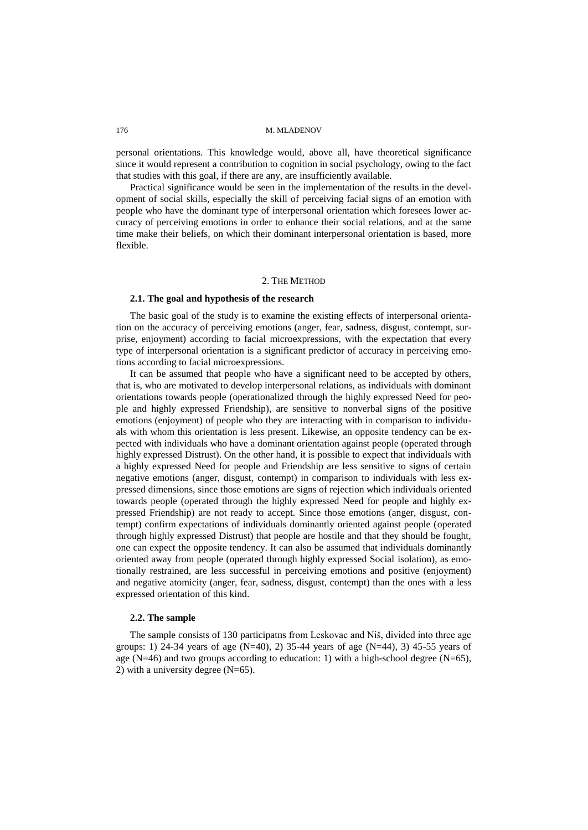#### 176 M. M. M. ADENOV

personal orientations. This knowledge would, above all, have theoretical significance since it would represent a contribution to cognition in social psychology, owing to the fact that studies with this goal, if there are any, are insufficiently available.

Practical significance would be seen in the implementation of the results in the development of social skills, especially the skill of perceiving facial signs of an emotion with people who have the dominant type of interpersonal orientation which foresees lower accuracy of perceiving emotions in order to enhance their social relations, and at the same time make their beliefs, on which their dominant interpersonal orientation is based, more flexible.

### 2. THE METHOD

### **2.1. The goal and hypothesis of the research**

The basic goal of the study is to examine the existing effects of interpersonal orientation on the accuracy of perceiving emotions (anger, fear, sadness, disgust, contempt, surprise, enjoyment) according to facial microexpressions, with the expectation that every type of interpersonal orientation is a significant predictor of accuracy in perceiving emotions according to facial microexpressions.

It can be assumed that people who have a significant need to be accepted by others, that is, who are motivated to develop interpersonal relations, as individuals with dominant orientations towards people (operationalized through the highly expressed Need for people and highly expressed Friendship), are sensitive to nonverbal signs of the positive emotions (enjoyment) of people who they are interacting with in comparison to individuals with whom this orientation is less present. Likewise, an opposite tendency can be expected with individuals who have a dominant orientation against people (operated through highly expressed Distrust). On the other hand, it is possible to expect that individuals with a highly expressed Need for people and Friendship are less sensitive to signs of certain negative emotions (anger, disgust, contempt) in comparison to individuals with less expressed dimensions, since those emotions are signs of rejection which individuals oriented towards people (operated through the highly expressed Need for people and highly expressed Friendship) are not ready to accept. Since those emotions (anger, disgust, contempt) confirm expectations of individuals dominantly oriented against people (operated through highly expressed Distrust) that people are hostile and that they should be fought, one can expect the opposite tendency. It can also be assumed that individuals dominantly oriented away from people (operated through highly expressed Social isolation), as emotionally restrained, are less successful in perceiving emotions and positive (enjoyment) and negative atomicity (anger, fear, sadness, disgust, contempt) than the ones with a less expressed orientation of this kind.

#### **2.2. The sample**

The sample consists of 130 participatns from Leskovac and Niš, divided into three age groups: 1) 24-34 years of age  $(N=40)$ , 2) 35-44 years of age  $(N=44)$ , 3) 45-55 years of age (N=46) and two groups according to education: 1) with a high-school degree (N=65), 2) with a university degree (N=65).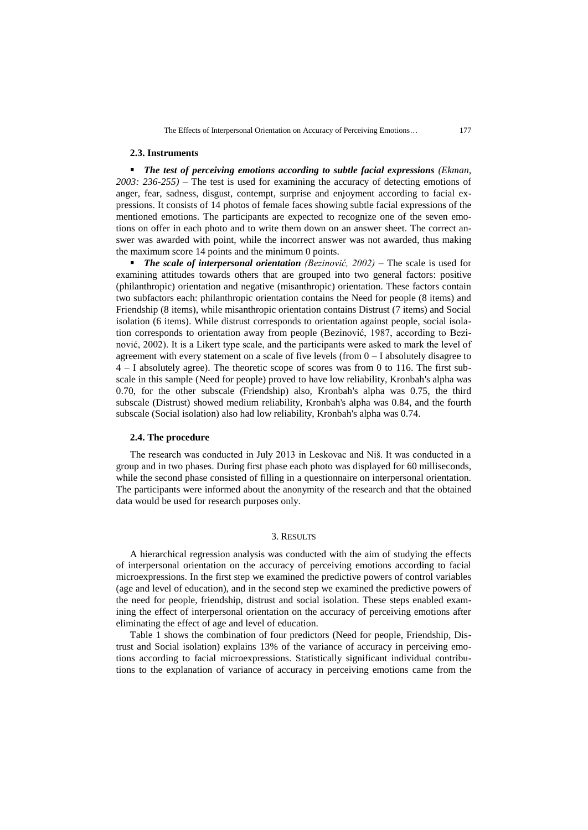#### **2.3. Instruments**

**The test of perceiving emotions according to subtle facial expressions** (Ekman, *2003: 236-255)* – The test is used for examining the accuracy of detecting emotions of anger, fear, sadness, disgust, contempt, surprise and enjoyment according to facial expressions. It consists of 14 photos of female faces showing subtle facial expressions of the mentioned emotions. The participants are expected to recognize one of the seven emotions on offer in each photo and to write them down on an answer sheet. The correct answer was awarded with point, while the incorrect answer was not awarded, thus making the maximum score 14 points and the minimum 0 points.

**The scale of interpersonal orientation** *(Bezinović, 2002)* – The scale is used for examining attitudes towards others that are grouped into two general factors: positive (philanthropic) orientation and negative (misanthropic) orientation. These factors contain two subfactors each: philanthropic orientation contains the Need for people (8 items) and Friendship (8 items), while misanthropic orientation contains Distrust (7 items) and Social isolation (6 items). While distrust corresponds to orientation against people, social isolation corresponds to orientation away from people (Bezinović, 1987, according to Bezinović, 2002). It is a Likert type scale, and the participants were asked to mark the level of agreement with every statement on a scale of five levels (from 0 – I absolutely disagree to 4 – I absolutely agree). The theoretic scope of scores was from 0 to 116. The first subscale in this sample (Need for people) proved to have low reliability, Kronbah's alpha was 0.70, for the other subscale (Friendship) also, Kronbah's alpha was 0.75, the third subscale (Distrust) showed medium reliability, Kronbah's alpha was 0.84, and the fourth subscale (Social isolation) also had low reliability, Kronbah's alpha was 0.74.

## **2.4. The procedure**

The research was conducted in July 2013 in Leskovac and Niš. It was conducted in a group and in two phases. During first phase each photo was displayed for 60 milliseconds, while the second phase consisted of filling in a questionnaire on interpersonal orientation. The participants were informed about the anonymity of the research and that the obtained data would be used for research purposes only.

## 3. RESULTS

A hierarchical regression analysis was conducted with the aim of studying the effects of interpersonal orientation on the accuracy of perceiving emotions according to facial microexpressions. In the first step we examined the predictive powers of control variables (age and level of education), and in the second step we examined the predictive powers of the need for people, friendship, distrust and social isolation. These steps enabled examining the effect of interpersonal orientation on the accuracy of perceiving emotions after eliminating the effect of age and level of education.

Table 1 shows the combination of four predictors (Need for people, Friendship, Distrust and Social isolation) explains 13% of the variance of accuracy in perceiving emotions according to facial microexpressions. Statistically significant individual contributions to the explanation of variance of accuracy in perceiving emotions came from the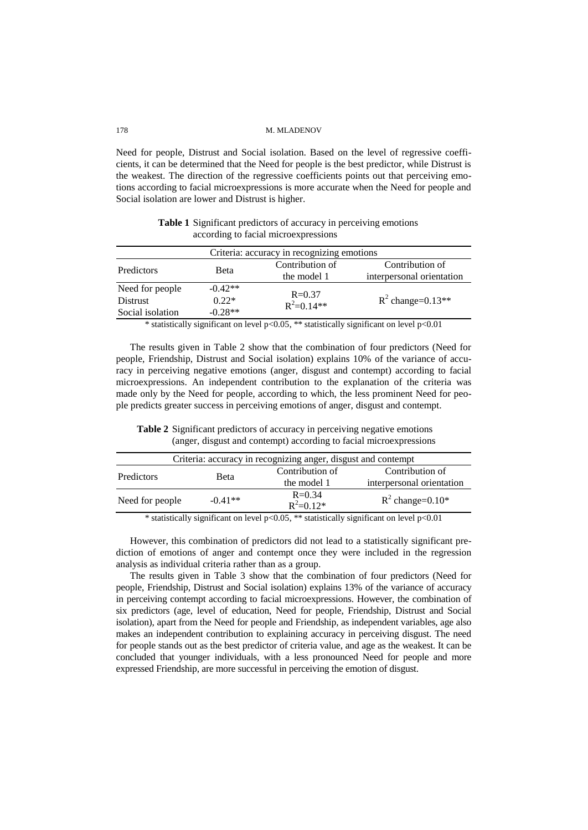#### 178 M. MLADENOV

Need for people, Distrust and Social isolation. Based on the level of regressive coefficients, it can be determined that the Need for people is the best predictor, while Distrust is the weakest. The direction of the regressive coefficients points out that perceiving emotions according to facial microexpressions is more accurate when the Need for people and Social isolation are lower and Distrust is higher.

Criteria: accuracy in recognizing emotions Predictors Beta Contribution of the model 1 Contribution of interpersonal orientation Need for people  $-0.42**$ <br>Distrust  $0.22*$  R=0.37  $R^2 = 0.14**$  R  $R^2$  change=0.13\*\* Social isolation  $-0.28**$ 

**Table 1** Significant predictors of accuracy in perceiving emotions according to facial microexpressions

\* statistically significant on level p<0.05, \*\* statistically significant on level p<0.01

The results given in Table 2 show that the combination of four predictors (Need for people, Friendship, Distrust and Social isolation) explains 10% of the variance of accuracy in perceiving negative emotions (anger, disgust and contempt) according to facial microexpressions. An independent contribution to the explanation of the criteria was made only by the Need for people, according to which, the less prominent Need for people predicts greater success in perceiving emotions of anger, disgust and contempt.

| Table 2 Significant predictors of accuracy in perceiving negative emotions |  |  |  |
|----------------------------------------------------------------------------|--|--|--|
| (anger, disgust and contempt) according to facial microexpressions         |  |  |  |

| Criteria: accuracy in recognizing anger, disgust and contempt |             |                                |                                              |  |
|---------------------------------------------------------------|-------------|--------------------------------|----------------------------------------------|--|
| Predictors                                                    | <b>Beta</b> | Contribution of<br>the model 1 | Contribution of<br>interpersonal orientation |  |
| Need for people                                               | $-0.41**$   | $R = 0.34$<br>$R^2=0.12*$      | $R^2$ change=0.10*                           |  |

\* statistically significant on level p<0.05, \*\* statistically significant on level p<0.01

However, this combination of predictors did not lead to a statistically significant prediction of emotions of anger and contempt once they were included in the regression analysis as individual criteria rather than as a group.

The results given in Table 3 show that the combination of four predictors (Need for people, Friendship, Distrust and Social isolation) explains 13% of the variance of accuracy in perceiving contempt according to facial microexpressions. However, the combination of six predictors (age, level of education, Need for people, Friendship, Distrust and Social isolation), apart from the Need for people and Friendship, as independent variables, age also makes an independent contribution to explaining accuracy in perceiving disgust. The need for people stands out as the best predictor of criteria value, and age as the weakest. It can be concluded that younger individuals, with a less pronounced Need for people and more expressed Friendship, are more successful in perceiving the emotion of disgust.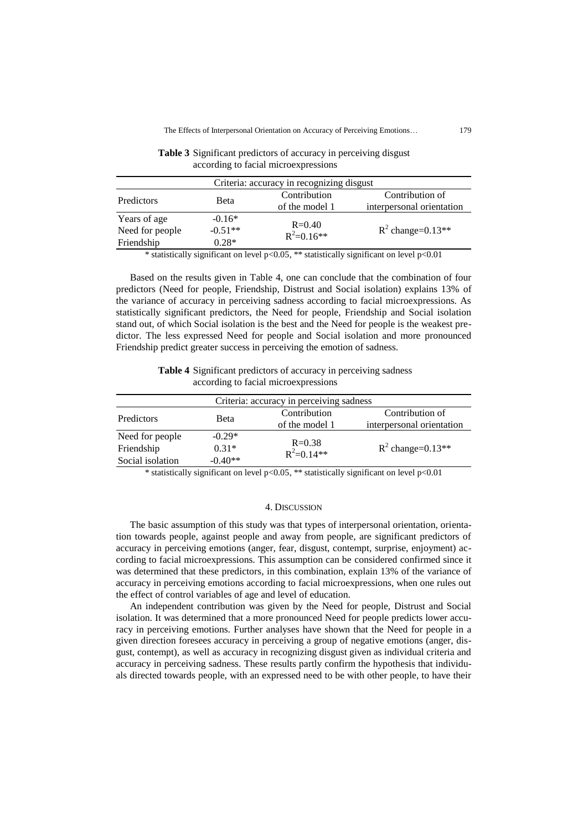| Criteria: accuracy in recognizing disgust |           |                              |                           |  |  |
|-------------------------------------------|-----------|------------------------------|---------------------------|--|--|
| Predictors                                | Beta      | Contribution                 | Contribution of           |  |  |
|                                           |           | of the model 1               | interpersonal orientation |  |  |
| Years of age                              | $-0.16*$  |                              |                           |  |  |
| Need for people                           | $-0.51**$ | $R = 0.40$<br>$R^2 = 0.16**$ | $R^2$ change=0.13**       |  |  |
| Friendship                                | $0.28*$   |                              |                           |  |  |

**Table 3** Significant predictors of accuracy in perceiving disgust according to facial microexpressions

\* statistically significant on level p<0.05, \*\* statistically significant on level p<0.01

Based on the results given in Table 4, one can conclude that the combination of four predictors (Need for people, Friendship, Distrust and Social isolation) explains 13% of the variance of accuracy in perceiving sadness according to facial microexpressions. As statistically significant predictors, the Need for people, Friendship and Social isolation stand out, of which Social isolation is the best and the Need for people is the weakest predictor. The less expressed Need for people and Social isolation and more pronounced Friendship predict greater success in perceiving the emotion of sadness.

**Table 4** Significant predictors of accuracy in perceiving sadness according to facial microexpressions

| Criteria: accuracy in perceiving sadness |             |                              |                           |  |  |
|------------------------------------------|-------------|------------------------------|---------------------------|--|--|
| Predictors                               | <b>Beta</b> | Contribution                 | Contribution of           |  |  |
|                                          |             | of the model 1               | interpersonal orientation |  |  |
| Need for people                          | $-0.29*$    |                              |                           |  |  |
| Friendship                               | $0.31*$     | $R = 0.38$<br>$R^2 = 0.14**$ | $R^2$ change=0.13**       |  |  |
| Social isolation                         | $-0.40**$   |                              |                           |  |  |

\* statistically significant on level p<0.05, \*\* statistically significant on level p<0.01

### 4. DISCUSSION

The basic assumption of this study was that types of interpersonal orientation, orientation towards people, against people and away from people, are significant predictors of accuracy in perceiving emotions (anger, fear, disgust, contempt, surprise, enjoyment) according to facial microexpressions. This assumption can be considered confirmed since it was determined that these predictors, in this combination, explain 13% of the variance of accuracy in perceiving emotions according to facial microexpressions, when one rules out the effect of control variables of age and level of education.

An independent contribution was given by the Need for people, Distrust and Social isolation. It was determined that a more pronounced Need for people predicts lower accuracy in perceiving emotions. Further analyses have shown that the Need for people in a given direction foresees accuracy in perceiving a group of negative emotions (anger, disgust, contempt), as well as accuracy in recognizing disgust given as individual criteria and accuracy in perceiving sadness. These results partly confirm the hypothesis that individuals directed towards people, with an expressed need to be with other people, to have their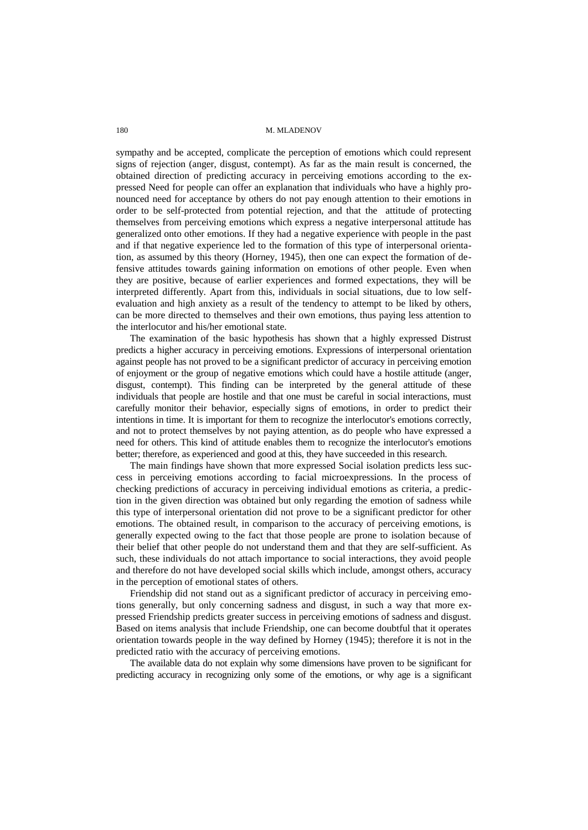#### 180 M. M. ADENOV

sympathy and be accepted, complicate the perception of emotions which could represent signs of rejection (anger, disgust, contempt). As far as the main result is concerned, the obtained direction of predicting accuracy in perceiving emotions according to the expressed Need for people can offer an explanation that individuals who have a highly pronounced need for acceptance by others do not pay enough attention to their emotions in order to be self-protected from potential rejection, and that the attitude of protecting themselves from perceiving emotions which express a negative interpersonal attitude has generalized onto other emotions. If they had a negative experience with people in the past and if that negative experience led to the formation of this type of interpersonal orientation, as assumed by this theory (Horney, 1945), then one can expect the formation of defensive attitudes towards gaining information on emotions of other people. Even when they are positive, because of earlier experiences and formed expectations, they will be interpreted differently. Apart from this, individuals in social situations, due to low selfevaluation and high anxiety as a result of the tendency to attempt to be liked by others, can be more directed to themselves and their own emotions, thus paying less attention to the interlocutor and his/her emotional state.

The examination of the basic hypothesis has shown that a highly expressed Distrust predicts a higher accuracy in perceiving emotions. Expressions of interpersonal orientation against people has not proved to be a significant predictor of accuracy in perceiving emotion of enjoyment or the group of negative emotions which could have a hostile attitude (anger, disgust, contempt). This finding can be interpreted by the general attitude of these individuals that people are hostile and that one must be careful in social interactions, must carefully monitor their behavior, especially signs of emotions, in order to predict their intentions in time. It is important for them to recognize the interlocutor's emotions correctly, and not to protect themselves by not paying attention, as do people who have expressed a need for others. This kind of attitude enables them to recognize the interlocutor's emotions better; therefore, as experienced and good at this, they have succeeded in this research.

The main findings have shown that more expressed Social isolation predicts less success in perceiving emotions according to facial microexpressions. In the process of checking predictions of accuracy in perceiving individual emotions as criteria, a prediction in the given direction was obtained but only regarding the emotion of sadness while this type of interpersonal orientation did not prove to be a significant predictor for other emotions. The obtained result, in comparison to the accuracy of perceiving emotions, is generally expected owing to the fact that those people are prone to isolation because of their belief that other people do not understand them and that they are self-sufficient. As such, these individuals do not attach importance to social interactions, they avoid people and therefore do not have developed social skills which include, amongst others, accuracy in the perception of emotional states of others.

Friendship did not stand out as a significant predictor of accuracy in perceiving emotions generally, but only concerning sadness and disgust, in such a way that more expressed Friendship predicts greater success in perceiving emotions of sadness and disgust. Based on items analysis that include Friendship, one can become doubtful that it operates orientation towards people in the way defined by Horney (1945); therefore it is not in the predicted ratio with the accuracy of perceiving emotions.

The available data do not explain why some dimensions have proven to be significant for predicting accuracy in recognizing only some of the emotions, or why age is a significant